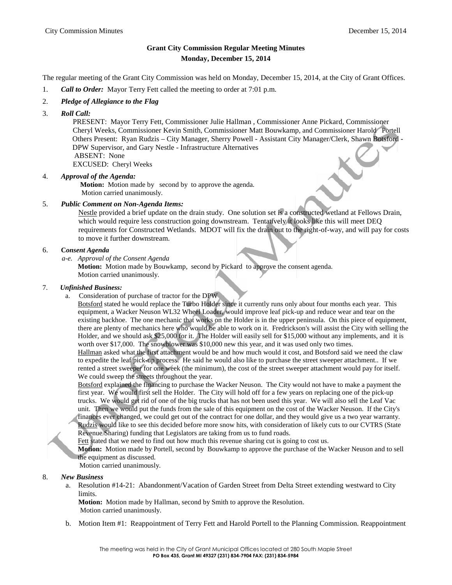# **Grant City Commission Regular Meeting Minutes Monday, December 15, 2014**

The regular meeting of the Grant City Commission was held on Monday, December 15, 2014, at the City of Grant Offices.

- 1. *Call to Order:* Mayor Terry Fett called the meeting to order at 7:01 p.m.
- 2. *Pledge of Allegiance to the Flag*
- 3. *Roll Call:*

PRESENT: Mayor Terry Fett, Commissioner Julie Hallman , Commissioner Anne Pickard, Commissioner Cheryl Weeks, Commissioner Kevin Smith, Commissioner Matt Bouwkamp, and Commissioner Harold Portell Others Present: Ryan Rudzis – City Manager, Sherry Powell - Assistant City Manager/Clerk, Shawn Botsford - DPW Supervisor, and Gary Nestle - Infrastructure Alternatives ABSENT: None

EXCUSED: Cheryl Weeks

## 4. *Approval of the Agenda:*

**Motion:** Motion made by second by to approve the agenda. Motion carried unanimously.

## 5. *Public Comment on Non-Agenda Items:*

Nestle provided a brief update on the drain study. One solution set is a constructed wetland at Fellows Drain, which would require less construction going downstream. Tentatively it looks like this will meet DEQ requirements for Constructed Wetlands. MDOT will fix the drain out to the right-of-way, and will pay for costs to move it further downstream.

## 6. **C***onsent Agenda*

*a-e. Approval of the Consent Agenda*

**Motion:** Motion made by Bouwkamp, second by Pickard to approve the consent agenda. Motion carried unanimously.

## 7. *Unfinished Business:*

a. Consideration of purchase of tractor for the DPW

Botsford stated he would replace the Turbo Holder since it currently runs only about four months each year. This equipment, a Wacker Neuson WL32 Wheel Loader, would improve leaf pick-up and reduce wear and tear on the existing backhoe. The one mechanic that works on the Holder is in the upper peninsula. On this piece of equipment, there are plenty of mechanics here who would be able to work on it. Fredrickson's will assist the City with selling the Holder, and we should ask \$25,000 for it. The Holder will easily sell for \$15,000 without any implements, and it is worth over \$17,000. The snowblower was \$10,000 new this year, and it was used only two times.

Hallman asked what the first attachment would be and how much would it cost, and Botsford said we need the claw to expedite the leaf pick-up process. He said he would also like to purchase the street sweeper attachment.. If we rented a street sweeper for one week (the minimum), the cost of the street sweeper attachment would pay for itself. We could sweep the streets throughout the year.

Botsford explained the financing to purchase the Wacker Neuson. The City would not have to make a payment the first year. We would first sell the Holder. The City will hold off for a few years on replacing one of the pick-up trucks. We would get rid of one of the big trucks that has not been used this year. We will also sell the Leaf Vac unit. Then we would put the funds from the sale of this equipment on the cost of the Wacker Neuson. If the City's finances ever changed, we could get out of the contract for one dollar, and they would give us a two year warranty.

Rudzis would like to see this decided before more snow hits, with consideration of likely cuts to our CVTRS (State Revenue Sharing) funding that Legislators are taking from us to fund roads.

Fett stated that we need to find out how much this revenue sharing cut is going to cost us.

**Motion:** Motion made by Portell, second by Bouwkamp to approve the purchase of the Wacker Neuson and to sell the equipment as discussed.

Motion carried unanimously.

#### 8. *New Business*

a. Resolution #14-21: Abandonment/Vacation of Garden Street from Delta Street extending westward to City limits.

**Motion:** Motion made by Hallman, second by Smith to approve the Resolution. Motion carried unanimously.

b. Motion Item #1: Reappointment of Terry Fett and Harold Portell to the Planning Commission. Reappointment